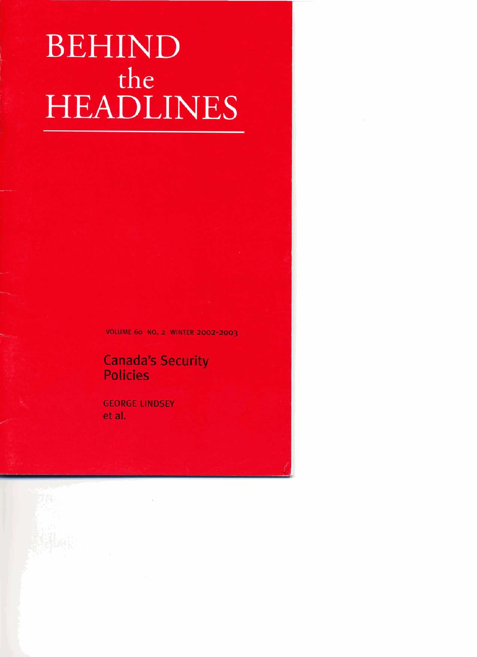# **BEHIND** the **HEADLINES**

**VOLUME 60 NO. 2 WINTER 2002-2003** 

## **Canada's Security Policies**

**GEORGE LINDSEY et al.**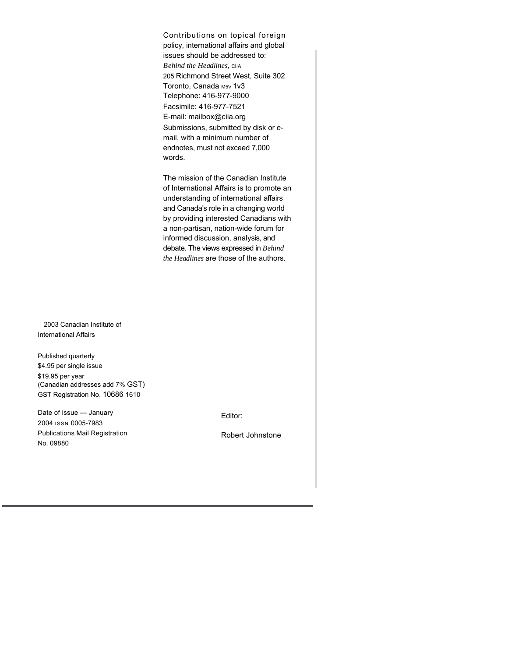Contributions on topical foreign policy, international affairs and global issues should be addressed to: *Behind the Headlines,* CIIA 205 Richmond Street West, Suite 302 Toronto, Canada M5V 1V3 Telephone: 416-977-9000 Facsimile: 416-977-7521 E-mail: mailbox@ciia.org Submissions, submitted by disk or email, with a minimum number of endnotes, must not exceed 7,000 words.

The mission of the Canadian Institute of International Affairs is to promote an understanding of international affairs and Canada's role in a changing world by providing interested Canadians with a non-partisan, nation-wide forum for informed discussion, analysis, and debate. The views expressed in *Behind the Headlines* are those of the authors.

2003 Canadian Institute of International Affairs

Published quarterly \$4.95 per single issue \$19.95 per year (Canadian addresses add 7% GST) GST Registration No. 10686 1610

Date of issue — January 2004 ISSN 0005-7983 Publications Mail Registration No. 09880

Editor:

Robert Johnstone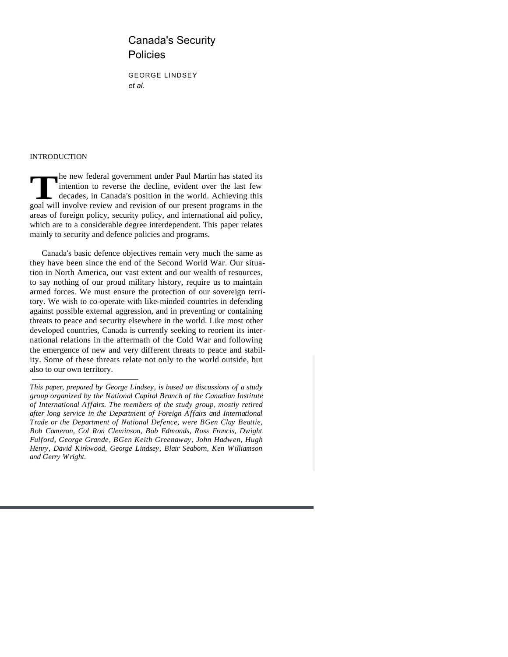### Canada's Security Policies

GEORGE LINDSEY *et al.*

#### INTRODUCTION

The new federal government under Paul Martin has stated its intention to reverse the decline, evident over the last few decades, in Canada's position in the world. Achieving this goal will involve review and revision of ou he new federal government under Paul Martin has stated its intention to reverse the decline, evident over the last few decades, in Canada's position in the world. Achieving this areas of foreign policy, security policy, and international aid policy, which are to a considerable degree interdependent. This paper relates mainly to security and defence policies and programs.

Canada's basic defence objectives remain very much the same as they have been since the end of the Second World War. Our situation in North America, our vast extent and our wealth of resources, to say nothing of our proud military history, require us to maintain armed forces. We must ensure the protection of our sovereign territory. We wish to co-operate with like-minded countries in defending against possible external aggression, and in preventing or containing threats to peace and security elsewhere in the world. Like most other developed countries, Canada is currently seeking to reorient its international relations in the aftermath of the Cold War and following the emergence of new and very different threats to peace and stability. Some of these threats relate not only to the world outside, but also to our own territory.

*This paper, prepared by George Lindsey, is based on discussions of a study group organized by the National Capital Branch of the Canadian Institute of International Affairs. The members of the study group, mostly retired after long service in the Department of Foreign Affairs and International Trade or the Department of National Defence, were BGen Clay Beattie, Bob Cameron, Col Ron Cleminson, Bob Edmonds, Ross Francis, Dwight Fulford, George Grande, BGen Keith Greenaway, John Hadwen, Hugh Henry, David Kirkwood, George Lindsey, Blair Seaborn, Ken Williamson and Gerry Wright.*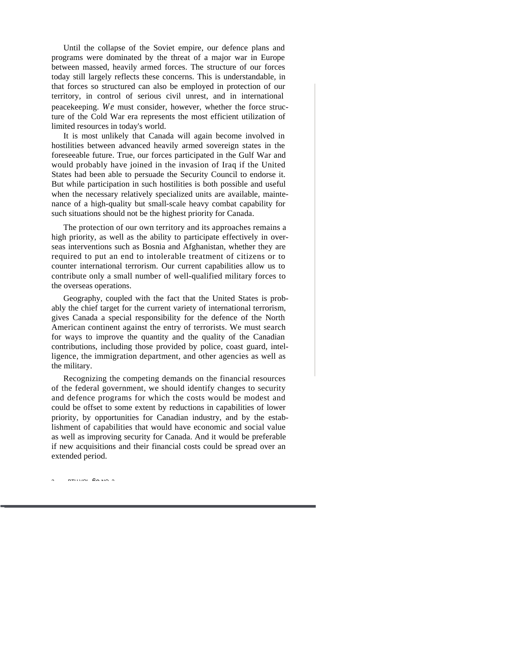Until the collapse of the Soviet empire, our defence plans and programs were dominated by the threat of a major war in Europe between massed, heavily armed forces. The structure of our forces today still largely reflects these concerns. This is understandable, in that forces so structured can also be employed in protection of our territory, in control of serious civil unrest, and in international peacekeeping. *We* must consider, however, whether the force structure of the Cold War era represents the most efficient utilization of limited resources in today's world.

It is most unlikely that Canada will again become involved in hostilities between advanced heavily armed sovereign states in the foreseeable future. True, our forces participated in the Gulf War and would probably have joined in the invasion of Iraq if the United States had been able to persuade the Security Council to endorse it. But while participation in such hostilities is both possible and useful when the necessary relatively specialized units are available, maintenance of a high-quality but small-scale heavy combat capability for such situations should not be the highest priority for Canada.

The protection of our own territory and its approaches remains a high priority, as well as the ability to participate effectively in overseas interventions such as Bosnia and Afghanistan, whether they are required to put an end to intolerable treatment of citizens or to counter international terrorism. Our current capabilities allow us to contribute only a small number of well-qualified military forces to the overseas operations.

Geography, coupled with the fact that the United States is probably the chief target for the current variety of international terrorism, gives Canada a special responsibility for the defence of the North American continent against the entry of terrorists. We must search for ways to improve the quantity and the quality of the Canadian contributions, including those provided by police, coast guard, intelligence, the immigration department, and other agencies as well as the military.

Recognizing the competing demands on the financial resources of the federal government, we should identify changes to security and defence programs for which the costs would be modest and could be offset to some extent by reductions in capabilities of lower priority, by opportunities for Canadian industry, and by the establishment of capabilities that would have economic and social value as well as improving security for Canada. And it would be preferable if new acquisitions and their financial costs could be spread over an extended period.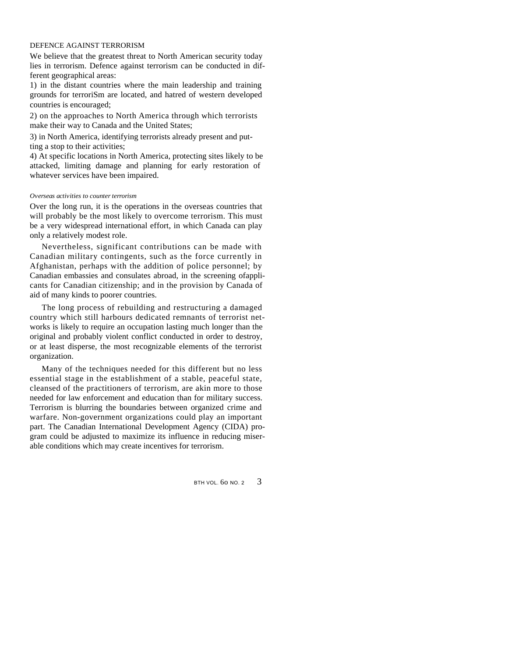#### DEFENCE AGAINST TERRORISM

We believe that the greatest threat to North American security today lies in terrorism. Defence against terrorism can be conducted in different geographical areas:

1) in the distant countries where the main leadership and training grounds for terroriSm are located, and hatred of western developed countries is encouraged;

2) on the approaches to North America through which terrorists make their way to Canada and the United States;

3) in North America, identifying terrorists already present and putting a stop to their activities;

4) At specific locations in North America, protecting sites likely to be attacked, limiting damage and planning for early restoration of whatever services have been impaired.

#### *Overseas activities to counter terrorism*

Over the long run, it is the operations in the overseas countries that will probably be the most likely to overcome terrorism. This must be a very widespread international effort, in which Canada can play only a relatively modest role.

Nevertheless, significant contributions can be made with Canadian military contingents, such as the force currently in Afghanistan, perhaps with the addition of police personnel; by Canadian embassies and consulates abroad, in the screening ofapplicants for Canadian citizenship; and in the provision by Canada of aid of many kinds to poorer countries.

The long process of rebuilding and restructuring a damaged country which still harbours dedicated remnants of terrorist networks is likely to require an occupation lasting much longer than the original and probably violent conflict conducted in order to destroy, or at least disperse, the most recognizable elements of the terrorist organization.

Many of the techniques needed for this different but no less essential stage in the establishment of a stable, peaceful state, cleansed of the practitioners of terrorism, are akin more to those needed for law enforcement and education than for military success. Terrorism is blurring the boundaries between organized crime and warfare. Non-government organizations could play an important part. The Canadian International Development Agency (CIDA) program could be adjusted to maximize its influence in reducing miserable conditions which may create incentives for terrorism.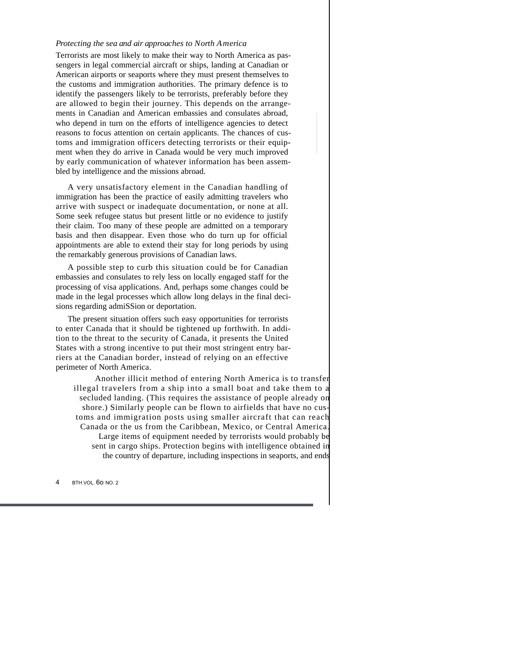#### *Protecting the sea and air approaches to North America*

Terrorists are most likely to make their way to North America as passengers in legal commercial aircraft or ships, landing at Canadian or American airports or seaports where they must present themselves to the customs and immigration authorities. The primary defence is to identify the passengers likely to be terrorists, preferably before they are allowed to begin their journey. This depends on the arrangements in Canadian and American embassies and consulates abroad, who depend in turn on the efforts of intelligence agencies to detect reasons to focus attention on certain applicants. The chances of customs and immigration officers detecting terrorists or their equipment when they do arrive in Canada would be very much improved by early communication of whatever information has been assembled by intelligence and the missions abroad.

A very unsatisfactory element in the Canadian handling of immigration has been the practice of easily admitting travelers who arrive with suspect or inadequate documentation, or none at all. Some seek refugee status but present little or no evidence to justify their claim. Too many of these people are admitted on a temporary basis and then disappear. Even those who do turn up for official appointments are able to extend their stay for long periods by using the remarkably generous provisions of Canadian laws.

A possible step to curb this situation could be for Canadian embassies and consulates to rely less on locally engaged staff for the processing of visa applications. And, perhaps some changes could be made in the legal processes which allow long delays in the final decisions regarding admiSSion or deportation.

The present situation offers such easy opportunities for terrorists to enter Canada that it should be tightened up forthwith. In addition to the threat to the security of Canada, it presents the United States with a strong incentive to put their most stringent entry barriers at the Canadian border, instead of relying on an effective perimeter of North America.

Another illicit method of entering North America is to tra illegal travelers from a ship into a small boat and take them secluded landing. (This requires the assistance of people already shore.) Similarly people can be flown to airfields that have no toms and immigration posts using smaller aircraft that can r Canada or the us from the Caribbean, Mexico, or Central Ame Large items of equipment needed by terrorists would probably sent in cargo ships. Protection begins with intelligence obtain the country of departure, including inspections in seaports, and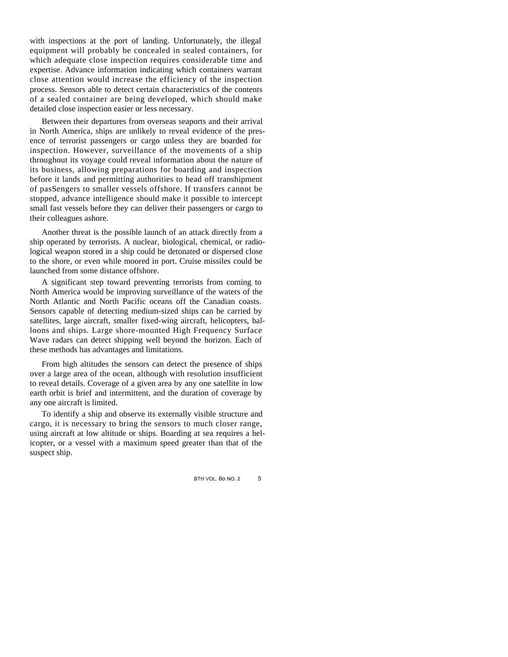with inspections at the port of landing. Unfortunately, the illegal equipment will probably be concealed in sealed containers, for which adequate close inspection requires considerable time and expertise. Advance information indicating which containers warrant close attention would increase the efficiency of the inspection process. Sensors able to detect certain characteristics of the contents of a sealed container are being developed, which should make detailed close inspection easier or less necessary.

Between their departures from overseas seaports and their arrival in North America, ships are unlikely to reveal evidence of the presence of terrorist passengers or cargo unless they are boarded for inspection. However, surveillance of the movements of a ship throughout its voyage could reveal information about the nature of its business, allowing preparations for boarding and inspection before it lands and permitting authorities to head off transhipment of pasSengers to smaller vessels offshore. If transfers cannot be stopped, advance intelligence should make it possible to intercept small fast vessels before they can deliver their passengers or cargo to their colleagues ashore.

Another threat is the possible launch of an attack directly from a ship operated by terrorists. A nuclear, biological, chemical, or radiological weapon stored in a ship could be detonated or dispersed close to the shore, or even while moored in port. Cruise missiles could be launched from some distance offshore.

A significant step toward preventing terrorists from coming to North America would be improving surveillance of the waters of the North Atlantic and North Pacific oceans off the Canadian coasts. Sensors capable of detecting medium-sized ships can be carried by satellites, large aircraft, smaller fixed-wing aircraft, helicopters, balloons and ships. Large shore-mounted High Frequency Surface Wave radars can detect shipping well beyond the horizon. Each of these methods has advantages and limitations.

From high altitudes the sensors can detect the presence of ships over a large area of the ocean, although with resolution insufficient to reveal details. Coverage of a given area by any one satellite in low earth orbit is brief and intermittent, and the duration of coverage by any one aircraft is limited.

To identify a ship and observe its externally visible structure and cargo, it is necessary to bring the sensors to much closer range, using aircraft at low altitude or ships. Boarding at sea requires a helicopter, or a vessel with a maximum speed greater than that of the suspect ship.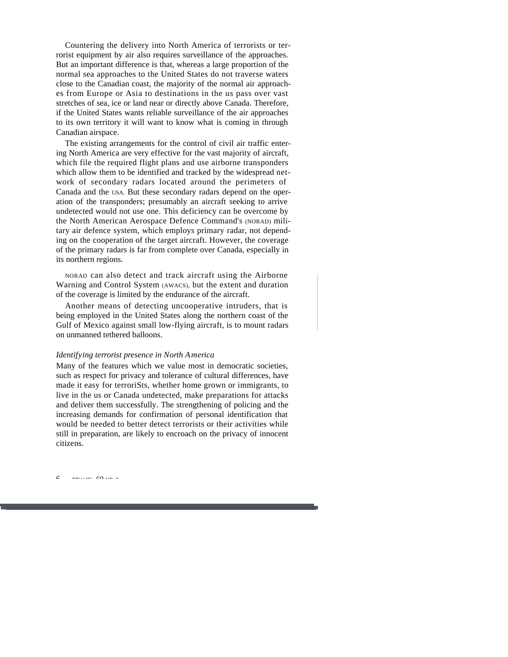Countering the delivery into North America of terrorists or terrorist equipment by air also requires surveillance of the approaches. But an important difference is that, whereas a large proportion of the normal sea approaches to the United States do not traverse waters close to the Canadian coast, the majority of the normal air approaches from Europe or Asia to destinations in the us pass over vast stretches of sea, ice or land near or directly above Canada. Therefore, if the United States wants reliable surveillance of the air approaches to its own territory it will want to know what is coming in through Canadian airspace.

The existing arrangements for the control of civil air traffic entering North America are very effective for the vast majority of aircraft, which file the required flight plans and use airborne transponders which allow them to be identified and tracked by the widespread network of secondary radars located around the perimeters of Canada and the USA. But these secondary radars depend on the operation of the transponders; presumably an aircraft seeking to arrive undetected would not use one. This deficiency can be overcome by the North American Aerospace Defence Command's (NORAD) military air defence system, which employs primary radar, not depending on the cooperation of the target aircraft. However, the coverage of the primary radars is far from complete over Canada, especially in its northern regions.

NORAD can also detect and track aircraft using the Airborne Warning and Control System (AWACS), but the extent and duration of the coverage is limited by the endurance of the aircraft.

Another means of detecting uncooperative intruders, that is being employed in the United States along the northern coast of the Gulf of Mexico against small low-flying aircraft, is to mount radars on unmanned tethered balloons.

#### *Identifying terrorist presence in North America*

Many of the features which we value most in democratic societies, such as respect for privacy and tolerance of cultural differences, have made it easy for terroriSts, whether home grown or immigrants, to live in the us or Canada undetected, make preparations for attacks and deliver them successfully. The strengthening of policing and the increasing demands for confirmation of personal identification that would be needed to better detect terrorists or their activities while still in preparation, are likely to encroach on the privacy of innocent citizens.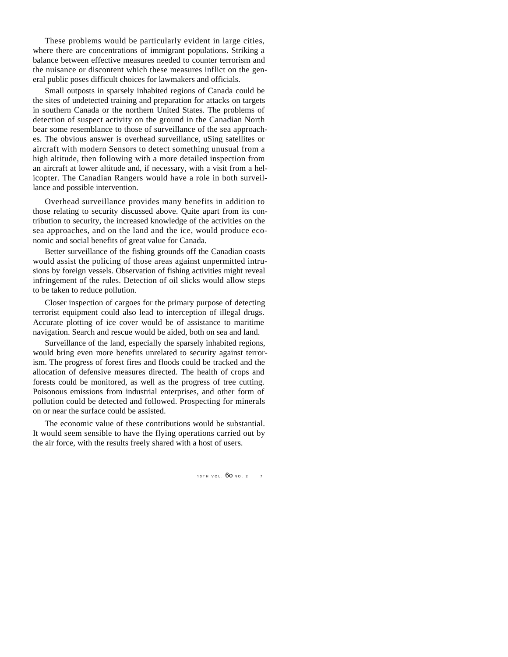These problems would be particularly evident in large cities, where there are concentrations of immigrant populations. Striking a balance between effective measures needed to counter terrorism and the nuisance or discontent which these measures inflict on the general public poses difficult choices for lawmakers and officials.

Small outposts in sparsely inhabited regions of Canada could be the sites of undetected training and preparation for attacks on targets in southern Canada or the northern United States. The problems of detection of suspect activity on the ground in the Canadian North bear some resemblance to those of surveillance of the sea approaches. The obvious answer is overhead surveillance, uSing satellites or aircraft with modern Sensors to detect something unusual from a high altitude, then following with a more detailed inspection from an aircraft at lower altitude and, if necessary, with a visit from a helicopter. The Canadian Rangers would have a role in both surveillance and possible intervention.

Overhead surveillance provides many benefits in addition to those relating to security discussed above. Quite apart from its contribution to security, the increased knowledge of the activities on the sea approaches, and on the land and the ice, would produce economic and social benefits of great value for Canada.

Better surveillance of the fishing grounds off the Canadian coasts would assist the policing of those areas against unpermitted intrusions by foreign vessels. Observation of fishing activities might reveal infringement of the rules. Detection of oil slicks would allow steps to be taken to reduce pollution.

Closer inspection of cargoes for the primary purpose of detecting terrorist equipment could also lead to interception of illegal drugs. Accurate plotting of ice cover would be of assistance to maritime navigation. Search and rescue would be aided, both on sea and land.

Surveillance of the land, especially the sparsely inhabited regions, would bring even more benefits unrelated to security against terrorism. The progress of forest fires and floods could be tracked and the allocation of defensive measures directed. The health of crops and forests could be monitored, as well as the progress of tree cutting. Poisonous emissions from industrial enterprises, and other form of pollution could be detected and followed. Prospecting for minerals on or near the surface could be assisted.

The economic value of these contributions would be substantial. It would seem sensible to have the flying operations carried out by the air force, with the results freely shared with a host of users.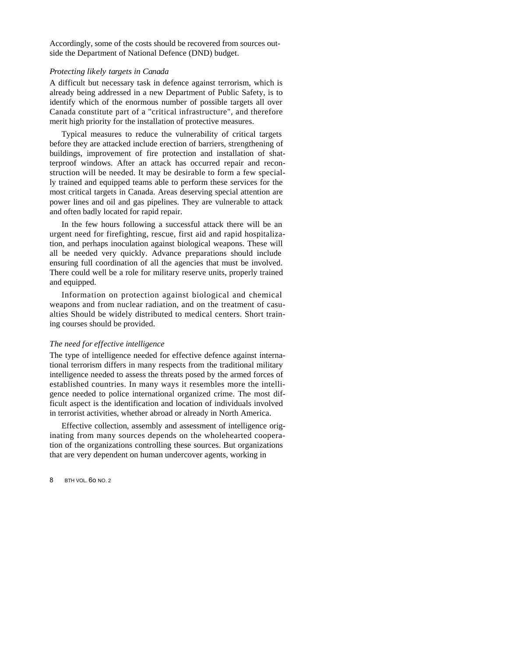Accordingly, some of the costs should be recovered from sources outside the Department of National Defence (DND) budget.

#### *Protecting likely targets in Canada*

A difficult but necessary task in defence against terrorism, which is already being addressed in a new Department of Public Safety, is to identify which of the enormous number of possible targets all over Canada constitute part of a "critical infrastructure", and therefore merit high priority for the installation of protective measures.

Typical measures to reduce the vulnerability of critical targets before they are attacked include erection of barriers, strengthening of buildings, improvement of fire protection and installation of shatterproof windows. After an attack has occurred repair and reconstruction will be needed. It may be desirable to form a few specially trained and equipped teams able to perform these services for the most critical targets in Canada. Areas deserving special attention are power lines and oil and gas pipelines. They are vulnerable to attack and often badly located for rapid repair.

In the few hours following a successful attack there will be an urgent need for firefighting, rescue, first aid and rapid hospitalization, and perhaps inoculation against biological weapons. These will all be needed very quickly. Advance preparations should include ensuring full coordination of all the agencies that must be involved. There could well be a role for military reserve units, properly trained and equipped.

Information on protection against biological and chemical weapons and from nuclear radiation, and on the treatment of casualties Should be widely distributed to medical centers. Short training courses should be provided.

#### *The need for effective intelligence*

The type of intelligence needed for effective defence against international terrorism differs in many respects from the traditional military intelligence needed to assess the threats posed by the armed forces of established countries. In many ways it resembles more the intelligence needed to police international organized crime. The most difficult aspect is the identification and location of individuals involved in terrorist activities, whether abroad or already in North America.

Effective collection, assembly and assessment of intelligence originating from many sources depends on the wholehearted cooperation of the organizations controlling these sources. But organizations that are very dependent on human undercover agents, working in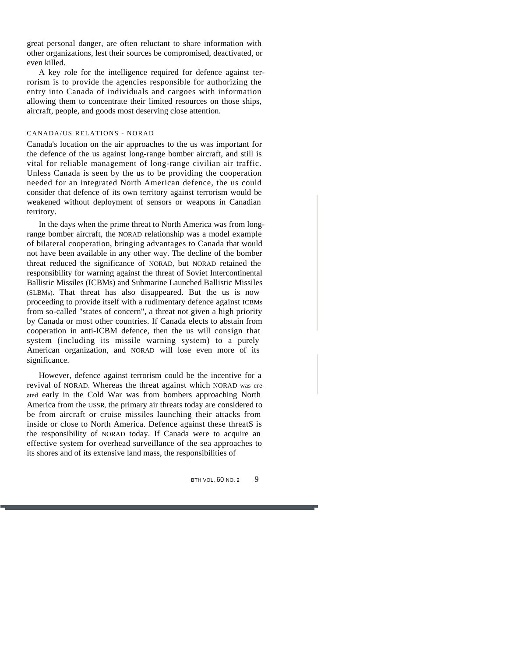great personal danger, are often reluctant to share information with other organizations, lest their sources be compromised, deactivated, or even killed.

A key role for the intelligence required for defence against terrorism is to provide the agencies responsible for authorizing the entry into Canada of individuals and cargoes with information allowing them to concentrate their limited resources on those ships, aircraft, people, and goods most deserving close attention.

#### CANADA/US RELATIONS - NORAD

Canada's location on the air approaches to the us was important for the defence of the us against long-range bomber aircraft, and still is vital for reliable management of long-range civilian air traffic. Unless Canada is seen by the us to be providing the cooperation needed for an integrated North American defence, the us could consider that defence of its own territory against terrorism would be weakened without deployment of sensors or weapons in Canadian territory.

In the days when the prime threat to North America was from longrange bomber aircraft, the NORAD relationship was a model example of bilateral cooperation, bringing advantages to Canada that would not have been available in any other way. The decline of the bomber threat reduced the significance of NORAD, but NORAD retained the responsibility for warning against the threat of Soviet Intercontinental Ballistic Missiles (ICBMs) and Submarine Launched Ballistic Missiles (SLBMs). That threat has also disappeared. But the us is now proceeding to provide itself with a rudimentary defence against ICBMs from so-called "states of concern", a threat not given a high priority by Canada or most other countries. If Canada elects to abstain from cooperation in anti-ICBM defence, then the us will consign that system (including its missile warning system) to a purely American organization, and NORAD will lose even more of its significance.

However, defence against terrorism could be the incentive for a revival of NORAD. Whereas the threat against which NORAD was created early in the Cold War was from bombers approaching North America from the USSR, the primary air threats today are considered to be from aircraft or cruise missiles launching their attacks from inside or close to North America. Defence against these threatS is the responsibility of NORAD today. If Canada were to acquire an effective system for overhead surveillance of the sea approaches to its shores and of its extensive land mass, the responsibilities of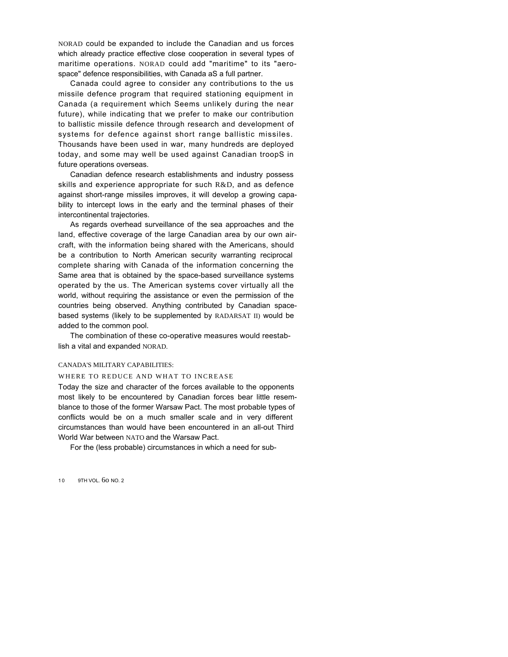NORAD could be expanded to include the Canadian and us forces which already practice effective close cooperation in several types of maritime operations. NORAD could add "maritime" to its "aerospace" defence responsibilities, with Canada aS a full partner.

Canada could agree to consider any contributions to the us missile defence program that required stationing equipment in Canada (a requirement which Seems unlikely during the near future), while indicating that we prefer to make our contribution to ballistic missile defence through research and development of systems for defence against short range ballistic missiles. Thousands have been used in war, many hundreds are deployed today, and some may well be used against Canadian troopS in future operations overseas.

Canadian defence research establishments and industry possess skills and experience appropriate for such R&D, and as defence against short-range missiles improves, it will develop a growing capability to intercept lows in the early and the terminal phases of their intercontinental trajectories.

As regards overhead surveillance of the sea approaches and the land, effective coverage of the large Canadian area by our own aircraft, with the information being shared with the Americans, should be a contribution to North American security warranting reciprocal complete sharing with Canada of the information concerning the Same area that is obtained by the space-based surveillance systems operated by the us. The American systems cover virtually all the world, without requiring the assistance or even the permission of the countries being observed. Anything contributed by Canadian spacebased systems (likely to be supplemented by RADARSAT II) would be added to the common pool.

The combination of these co-operative measures would reestablish a vital and expanded NORAD.

#### CANADA'S MILITARY CAPABILITIES:

#### WHERE TO REDUCE AND WHAT TO INCREASE

Today the size and character of the forces available to the opponents most likely to be encountered by Canadian forces bear little resemblance to those of the former Warsaw Pact. The most probable types of conflicts would be on a much smaller scale and in very different circumstances than would have been encountered in an all-out Third World War between NATO and the Warsaw Pact.

For the (less probable) circumstances in which a need for sub-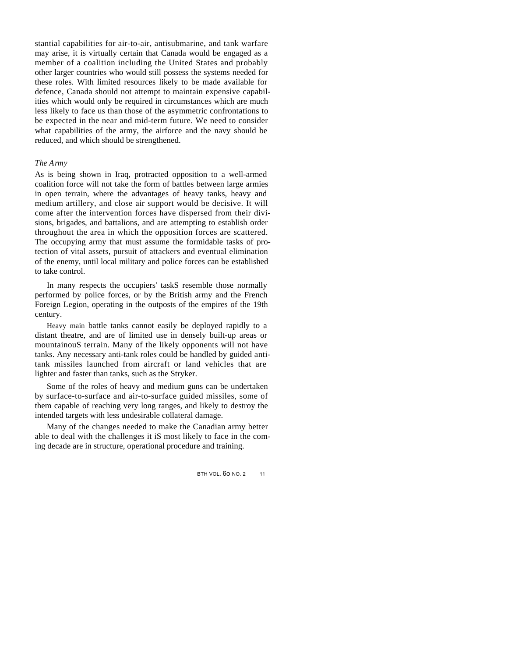stantial capabilities for air-to-air, antisubmarine, and tank warfare may arise, it is virtually certain that Canada would be engaged as a member of a coalition including the United States and probably other larger countries who would still possess the systems needed for these roles. With limited resources likely to be made available for defence, Canada should not attempt to maintain expensive capabilities which would only be required in circumstances which are much less likely to face us than those of the asymmetric confrontations to be expected in the near and mid-term future. We need to consider what capabilities of the army, the airforce and the navy should be reduced, and which should be strengthened.

#### *The Army*

As is being shown in Iraq, protracted opposition to a well-armed coalition force will not take the form of battles between large armies in open terrain, where the advantages of heavy tanks, heavy and medium artillery, and close air support would be decisive. It will come after the intervention forces have dispersed from their divisions, brigades, and battalions, and are attempting to establish order throughout the area in which the opposition forces are scattered. The occupying army that must assume the formidable tasks of protection of vital assets, pursuit of attackers and eventual elimination of the enemy, until local military and police forces can be established to take control.

In many respects the occupiers' taskS resemble those normally performed by police forces, or by the British army and the French Foreign Legion, operating in the outposts of the empires of the 19th century.

Heavy main battle tanks cannot easily be deployed rapidly to a distant theatre, and are of limited use in densely built-up areas or mountainouS terrain. Many of the likely opponents will not have tanks. Any necessary anti-tank roles could be handled by guided antitank missiles launched from aircraft or land vehicles that are lighter and faster than tanks, such as the Stryker.

Some of the roles of heavy and medium guns can be undertaken by surface-to-surface and air-to-surface guided missiles, some of them capable of reaching very long ranges, and likely to destroy the intended targets with less undesirable collateral damage.

Many of the changes needed to make the Canadian army better able to deal with the challenges it iS most likely to face in the coming decade are in structure, operational procedure and training.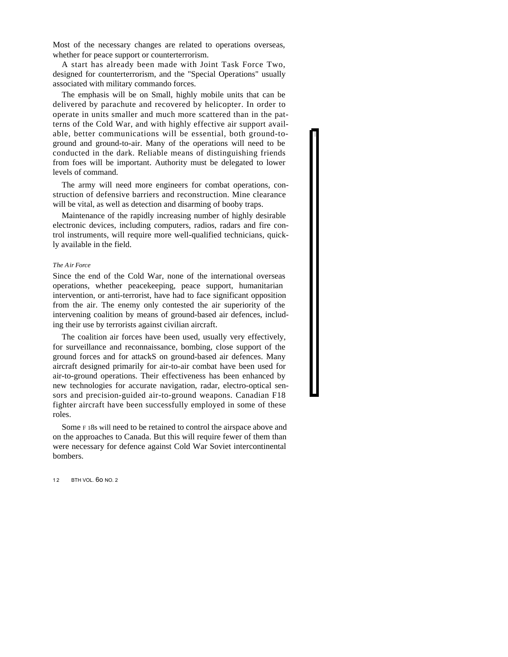Most of the necessary changes are related to operations overseas, whether for peace support or counterterrorism.

A start has already been made with Joint Task Force Two, designed for counterterrorism, and the "Special Operations" usually associated with military commando forces.

The emphasis will be on Small, highly mobile units that can be delivered by parachute and recovered by helicopter. In order to operate in units smaller and much more scattered than in the patterns of the Cold War, and with highly effective air support available, better communications will be essential, both ground-toground and ground-to-air. Many of the operations will need to be conducted in the dark. Reliable means of distinguishing friends from foes will be important. Authority must be delegated to lower levels of command.

The army will need more engineers for combat operations, construction of defensive barriers and reconstruction. Mine clearance will be vital, as well as detection and disarming of booby traps.

Maintenance of the rapidly increasing number of highly desirable electronic devices, including computers, radios, radars and fire control instruments, will require more well-qualified technicians, quickly available in the field.

#### *The Air Force*

Since the end of the Cold War, none of the international overseas operations, whether peacekeeping, peace support, humanitarian intervention, or anti-terrorist, have had to face significant opposition from the air. The enemy only contested the air superiority of the intervening coalition by means of ground-based air defences, including their use by terrorists against civilian aircraft.

The coalition air forces have been used, usually very effectively, for surveillance and reconnaissance, bombing, close support of the ground forces and for attackS on ground-based air defences. Many aircraft designed primarily for air-to-air combat have been used for air-to-ground operations. Their effectiveness has been enhanced by new technologies for accurate navigation, radar, electro-optical sensors and precision-guided air-to-ground weapons. Canadian F18 fighter aircraft have been successfully employed in some of these roles.

Some <sup>F</sup> <sup>1</sup>8s will need to be retained to control the airspace above and on the approaches to Canada. But this will require fewer of them than were necessary for defence against Cold War Soviet intercontinental bombers.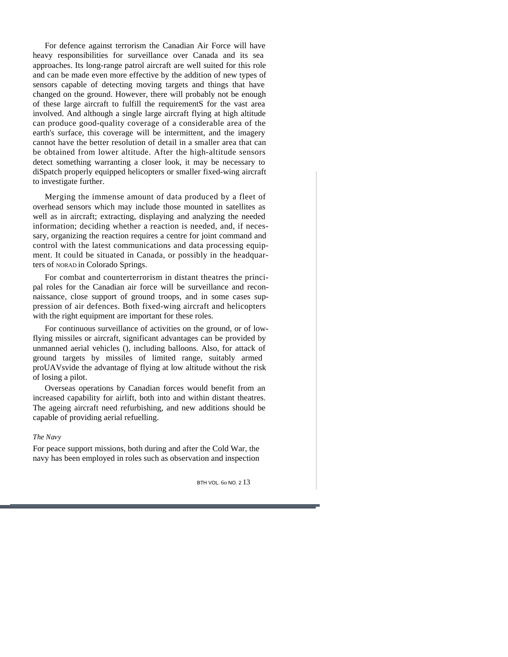For defence against terrorism the Canadian Air Force will have heavy responsibilities for surveillance over Canada and its sea approaches. Its long-range patrol aircraft are well suited for this role and can be made even more effective by the addition of new types of sensors capable of detecting moving targets and things that have changed on the ground. However, there will probably not be enough of these large aircraft to fulfill the requirementS for the vast area involved. And although a single large aircraft flying at high altitude can produce good-quality coverage of a considerable area of the earth's surface, this coverage will be intermittent, and the imagery cannot have the better resolution of detail in a smaller area that can be obtained from lower altitude. After the high-altitude sensors detect something warranting a closer look, it may be necessary to diSpatch properly equipped helicopters or smaller fixed-wing aircraft to investigate further.

Merging the immense amount of data produced by a fleet of overhead sensors which may include those mounted in satellites as well as in aircraft; extracting, displaying and analyzing the needed information; deciding whether a reaction is needed, and, if necessary, organizing the reaction requires a centre for joint command and control with the latest communications and data processing equipment. It could be situated in Canada, or possibly in the headquarters of NORAD in Colorado Springs.

For combat and counterterrorism in distant theatres the principal roles for the Canadian air force will be surveillance and reconnaissance, close support of ground troops, and in some cases suppression of air defences. Both fixed-wing aircraft and helicopters with the right equipment are important for these roles.

For continuous surveillance of activities on the ground, or of lowflying missiles or aircraft, significant advantages can be provided by unmanned aerial vehicles (), including balloons. Also, for attack of ground targets by missiles of limited range, suitably armed proUAVsvide the advantage of flying at low altitude without the risk of losing a pilot.

Overseas operations by Canadian forces would benefit from an increased capability for airlift, both into and within distant theatres. The ageing aircraft need refurbishing, and new additions should be capable of providing aerial refuelling.

#### *The Navy*

For peace support missions, both during and after the Cold War, the navy has been employed in roles such as observation and inspection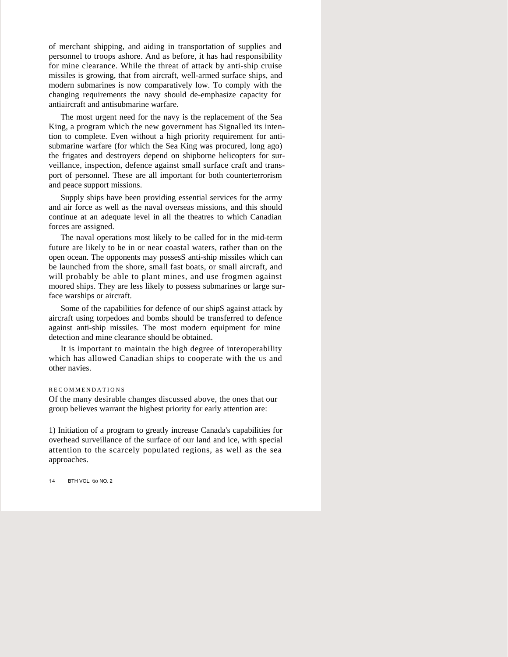of merchant shipping, and aiding in transportation of supplies and personnel to troops ashore. And as before, it has had responsibility for mine clearance. While the threat of attack by anti-ship cruise missiles is growing, that from aircraft, well-armed surface ships, and modern submarines is now comparatively low. To comply with the changing requirements the navy should de-emphasize capacity for antiaircraft and antisubmarine warfare.

The most urgent need for the navy is the replacement of the Sea King, a program which the new government has Signalled its intention to complete. Even without a high priority requirement for antisubmarine warfare (for which the Sea King was procured, long ago) the frigates and destroyers depend on shipborne helicopters for surveillance, inspection, defence against small surface craft and transport of personnel. These are all important for both counterterrorism and peace support missions.

Supply ships have been providing essential services for the army and air force as well as the naval overseas missions, and this should continue at an adequate level in all the theatres to which Canadian forces are assigned.

The naval operations most likely to be called for in the mid-term future are likely to be in or near coastal waters, rather than on the open ocean. The opponents may possesS anti-ship missiles which can be launched from the shore, small fast boats, or small aircraft, and will probably be able to plant mines, and use frogmen against moored ships. They are less likely to possess submarines or large surface warships or aircraft.

Some of the capabilities for defence of our shipS against attack by aircraft using torpedoes and bombs should be transferred to defence against anti-ship missiles. The most modern equipment for mine detection and mine clearance should be obtained.

It is important to maintain the high degree of interoperability which has allowed Canadian ships to cooperate with the us and other navies.

#### RECOMMENDATIONS

Of the many desirable changes discussed above, the ones that our group believes warrant the highest priority for early attention are:

1) Initiation of a program to greatly increase Canada's capabilities for overhead surveillance of the surface of our land and ice, with special attention to the scarcely populated regions, as well as the sea approaches.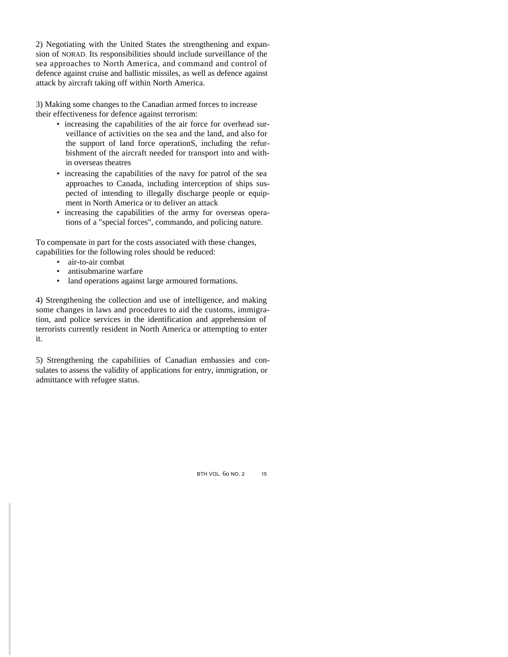2) Negotiating with the United States the strengthening and expansion of NORAD. Its responsibilities should include surveillance of the sea approaches to North America, and command and control of defence against cruise and ballistic missiles, as well as defence against attack by aircraft taking off within North America.

3) Making some changes to the Canadian armed forces to increase their effectiveness for defence against terrorism:

- increasing the capabilities of the air force for overhead surveillance of activities on the sea and the land, and also for the support of land force operationS, including the refurbishment of the aircraft needed for transport into and within overseas theatres
- increasing the capabilities of the navy for patrol of the sea approaches to Canada, including interception of ships suspected of intending to illegally discharge people or equipment in North America or to deliver an attack
- increasing the capabilities of the army for overseas operations of a "special forces", commando, and policing nature.

To compensate in part for the costs associated with these changes, capabilities for the following roles should be reduced:

- air-to-air combat
- antisubmarine warfare
- land operations against large armoured formations.

4) Strengthening the collection and use of intelligence, and making some changes in laws and procedures to aid the customs, immigration, and police services in the identification and apprehension of terrorists currently resident in North America or attempting to enter it.

5) Strengthening the capabilities of Canadian embassies and consulates to assess the validity of applications for entry, immigration, or admittance with refugee status.